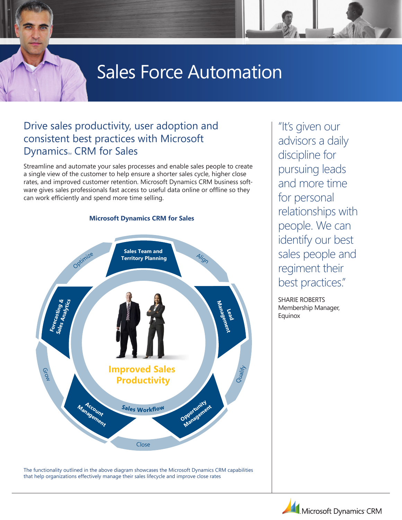# Sales Force Automation

### Drive sales productivity, user adoption and consistent best practices with Microsoft Dynamics<sub>M</sub> CRM for Sales

Streamline and automate your sales processes and enable sales people to create a single view of the customer to help ensure a shorter sales cycle, higher close rates, and improved customer retention. Microsoft Dynamics CRM business software gives sales professionals fast access to useful data online or offline so they can work efficiently and spend more time selling.

**Microsoft Dynamics CRM for Sales** 

## **Sales Team and Optimize** <sup>A</sup>lig<sup>n</sup> **Territory Planning Forecasting & Sales Analytics Management Lead Improved Sales**  GrowQualify **Productivity Opportunity Management Account Management** Sales Workflow Clos<sup>e</sup>

The functionality outlined in the above diagram showcases the Microsoft Dynamics CRM capabilities that help organizations effectively manage their sales lifecycle and improve close rates

"It's given our advisors a daily discipline for pursuing leads and more time for personal relationships with people. We can identify our best sales people and regiment their best practices."

SHARIE ROBERTS Membership Manager, **Equinox** 

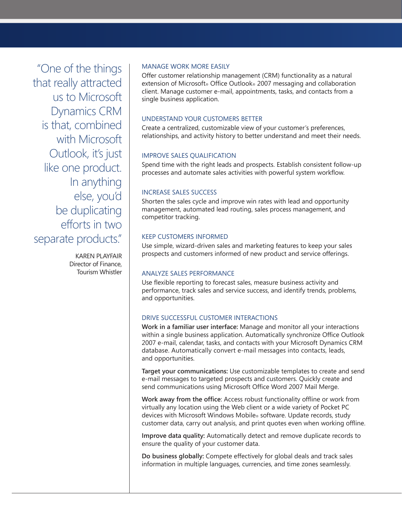"One of the things that really attracted us to Microsoft Dynamics CRM is that, combined with Microsoft Outlook, it's just like one product. In anything else, you'd be duplicating efforts in two separate products."

> Karen Playfair Director of Finance, Tourism Whistler

#### Manage Work More Easily

Offer customer relationship management (CRM) functionality as a natural extension of Microsoft® Office Outlook® 2007 messaging and collaboration client. Manage customer e-mail, appointments, tasks, and contacts from a single business application.

#### Understand Your Customers Better

Create a centralized, customizable view of your customer's preferences, relationships, and activity history to better understand and meet their needs.

#### Improve Sales Qualification

Spend time with the right leads and prospects. Establish consistent follow-up processes and automate sales activities with powerful system workflow.

#### Increase Sales Success

Shorten the sales cycle and improve win rates with lead and opportunity management, automated lead routing, sales process management, and competitor tracking.

#### Keep Customers Informed

Use simple, wizard-driven sales and marketing features to keep your sales prospects and customers informed of new product and service offerings.

#### Analyze Sales Performance

Use flexible reporting to forecast sales, measure business activity and performance, track sales and service success, and identify trends, problems, and opportunities.

#### Drive Successful Customer Interactions

**Work in a familiar user interface:** Manage and monitor all your interactions within a single business application. Automatically synchronize Office Outlook 2007 e-mail, calendar, tasks, and contacts with your Microsoft Dynamics CRM database. Automatically convert e-mail messages into contacts, leads, and opportunities.

**Target your communications:** Use customizable templates to create and send e-mail messages to targeted prospects and customers. Quickly create and send communications using Microsoft Office Word 2007 Mail Merge.

**Work away from the office**: Access robust functionality offline or work from virtually any location using the Web client or a wide variety of Pocket PC devices with Microsoft Windows Mobile® software. Update records, study customer data, carry out analysis, and print quotes even when working offline.

**Improve data quality:** Automatically detect and remove duplicate records to ensure the quality of your customer data.

**Do business globally:** Compete effectively for global deals and track sales information in multiple languages, currencies, and time zones seamlessly.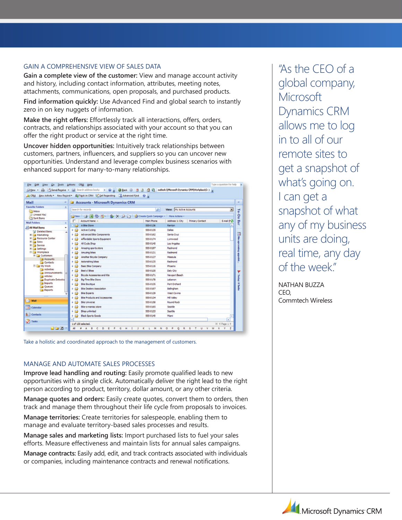#### Gain a Comprehensive View of Sales Data

**Gain a complete view of the customer:** View and manage account activity and history, including contact information, attributes, meeting notes, attachments, communications, open proposals, and purchased products.

**Find information quickly:** Use Advanced Find and global search to instantly zero in on key nuggets of information.

**Make the right offers:** Effortlessly track all interactions, offers, orders, contracts, and relationships associated with your account so that you can offer the right product or service at the right time.

**Uncover hidden opportunities:** Intuitively track relationships between customers, partners, influencers, and suppliers so you can uncover new opportunities. Understand and leverage complex business scenarios with enhanced support for many-to-many relationships.

| Mail<br>$\alpha$                                                                                                                                                                                                                                                                                                                                                     | Accounts - Microsoft Dynamics CRM                          |              |                                    |             |
|----------------------------------------------------------------------------------------------------------------------------------------------------------------------------------------------------------------------------------------------------------------------------------------------------------------------------------------------------------------------|------------------------------------------------------------|--------------|------------------------------------|-------------|
| <b>Favorite Folders</b><br>灸                                                                                                                                                                                                                                                                                                                                         |                                                            |              |                                    |             |
| <b>Call Inbox</b>                                                                                                                                                                                                                                                                                                                                                    | Search for records                                         | ا هر         | View: My Active Accounts           | Ξ           |
| C) Unread Mail<br>Sent Items                                                                                                                                                                                                                                                                                                                                         | Ditew 4 3 5 9 V 3 3 9 Greate Quick Campaign - More Actions |              |                                    |             |
| <b>Mail Folders</b>                                                                                                                                                                                                                                                                                                                                                  | Account Name -<br>п                                        | Main Phone   | Address 1: City<br>Primary Contact | E-mail (P2) |
| 击                                                                                                                                                                                                                                                                                                                                                                    | A Bike Store                                               | \$\$5-0136   | Renton                             |             |
| O All Mail Items<br>٠<br>$\overline{\phantom{a}}$<br>al Deleted Rems                                                                                                                                                                                                                                                                                                 | <b>Active Cycling</b><br><b>SH</b><br>ь                    | \$\$5-0135   | Dallas                             |             |
| <b>Marketing</b><br><b>E Resource Center</b><br><b>El Cas Sales</b><br><b>El Service</b><br><b>El Settings</b><br><b>ED Workplace</b><br><b>El Customers</b><br>Accounts<br>Contacts<br><b>E My Work</b><br>Activities<br>Announcements<br><b>Articles</b><br>Duplicate Detection<br><b>Imports</b><br>Queues<br>Reports<br>7.1177<br><b>Mail</b><br>- 4<br>Calendar | <b>D</b><br><b>Advanced Bike Components</b>                | 555-0162     | Santa Cruz                         |             |
|                                                                                                                                                                                                                                                                                                                                                                      | Affordable Sports Equipment                                | 555-0174     | Lynnwood                           |             |
|                                                                                                                                                                                                                                                                                                                                                                      | All Cycle Shop<br>レー                                       | 555-0145     | Los Angeles                        |             |
|                                                                                                                                                                                                                                                                                                                                                                      | Amazing sports store                                       | 555-0197     | Redmond                            |             |
|                                                                                                                                                                                                                                                                                                                                                                      | Amuzing bikes                                              | 555-0131     | Redmond                            |             |
|                                                                                                                                                                                                                                                                                                                                                                      | Another Bicycle Company<br>Þ B                             | 555-0127     | Missoula                           |             |
|                                                                                                                                                                                                                                                                                                                                                                      | <b>P</b> B<br>Astonishing bikes                            | 555-0135     | Redmond                            |             |
|                                                                                                                                                                                                                                                                                                                                                                      | k fil<br>Basic Bike Company                                | 555-0116     | Phoenix                            |             |
|                                                                                                                                                                                                                                                                                                                                                                      | <b>Best o' Bikes</b>                                       | 555-0135     | Daly City                          |             |
|                                                                                                                                                                                                                                                                                                                                                                      | Bicycle Accessories and Kits                               | \$\$\$-0171  | Newport Beach                      |             |
|                                                                                                                                                                                                                                                                                                                                                                      | Big-Time Bike Store                                        | \$\$\$-0178  | Lebanon                            |             |
|                                                                                                                                                                                                                                                                                                                                                                      | <b>Bike Boutique</b>                                       | \$\$\$-013\$ | Port Orchard                       |             |
|                                                                                                                                                                                                                                                                                                                                                                      | Bike Dealers Association                                   | SSS-0197     | Belingham                          |             |
|                                                                                                                                                                                                                                                                                                                                                                      | <b>Bike Experts</b>                                        | \$\$5-0129   | <b>West Covina</b>                 |             |
|                                                                                                                                                                                                                                                                                                                                                                      | <b>Bike Products and Accessories</b>                       | \$\$5-0134   | Mil Valey                          |             |
|                                                                                                                                                                                                                                                                                                                                                                      | k G<br><b>Bike Universe</b>                                | 555-0158     | <b>Round Rock</b>                  |             |
|                                                                                                                                                                                                                                                                                                                                                                      | ⊵ ⊯<br><b>Bike-o-maniac store</b>                          | 555-0165     | Seattle                            |             |
|                                                                                                                                                                                                                                                                                                                                                                      | 上国<br><b>Blics unlimited</b>                               | 555-0133     | Seattle                            |             |
| & Contacts                                                                                                                                                                                                                                                                                                                                                           | P ⊞<br>Black Sports Goods                                  | 555-01-40    | Mami                               | ٠           |

Take a holistic and coordinated approach to the management of customers.

#### Manage and Automate Sales Processes

**Improve lead handling and routing:** Easily promote qualified leads to new opportunities with a single click. Automatically deliver the right lead to the right person according to product, territory, dollar amount, or any other criteria.

**Manage quotes and orders:** Easily create quotes, convert them to orders, then track and manage them throughout their life cycle from proposals to invoices.

**Manage territories:** Create territories for salespeople, enabling them to manage and evaluate territory-based sales processes and results.

**Manage sales and marketing lists:** Import purchased lists to fuel your sales efforts. Measure effectiveness and maintain lists for annual sales campaigns.

**Manage contracts:** Easily add, edit, and track contracts associated with individuals or companies, including maintenance contracts and renewal notifications.

"As the CEO of a global company, **Microsoft** Dynamics CRM allows me to log in to all of our remote sites to get a snapshot of what's going on. I can get a snapshot of what any of my business units are doing, real time, any day of the week."

Nathan Buzza CEO, Commtech Wireless